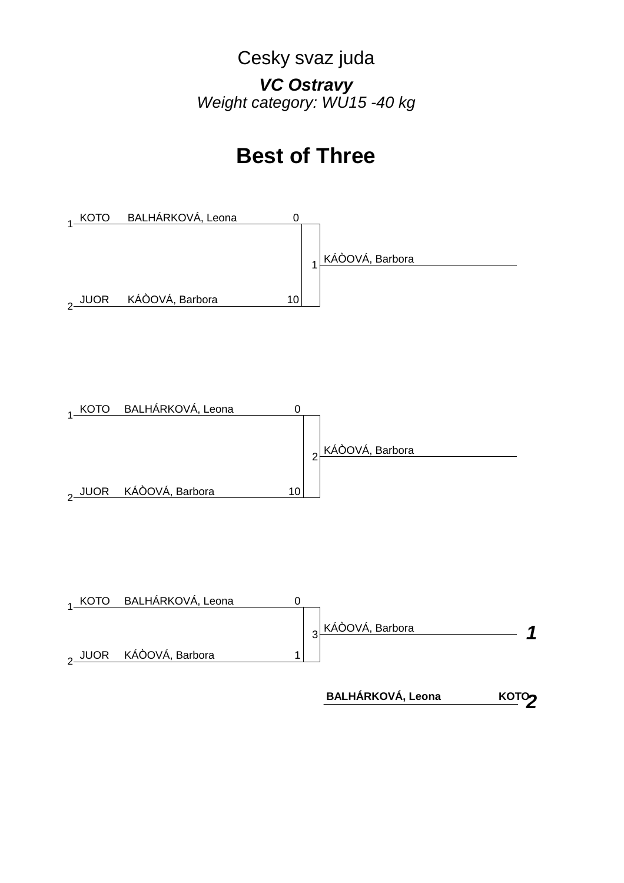## Cesky svaz juda *VC Ostravy Weight category: WU15 -40 kg*

# **Best of Three**







<u>кото</u> **BALHÁRKOVÁ, Leona**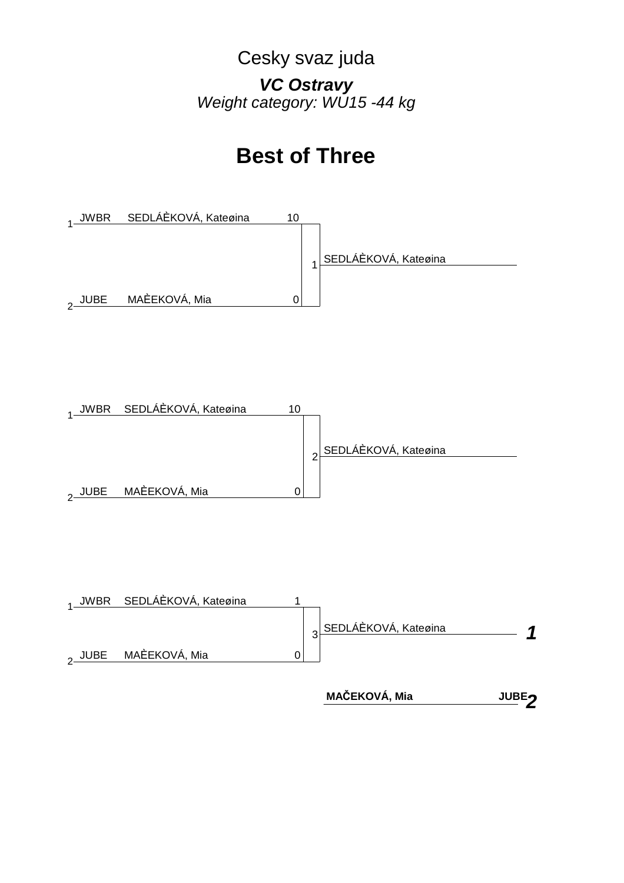## Cesky svaz juda *VC Ostravy Weight category: WU15 -44 kg*

# **Best of Three**







 **MAČEKOVÁ, Mia**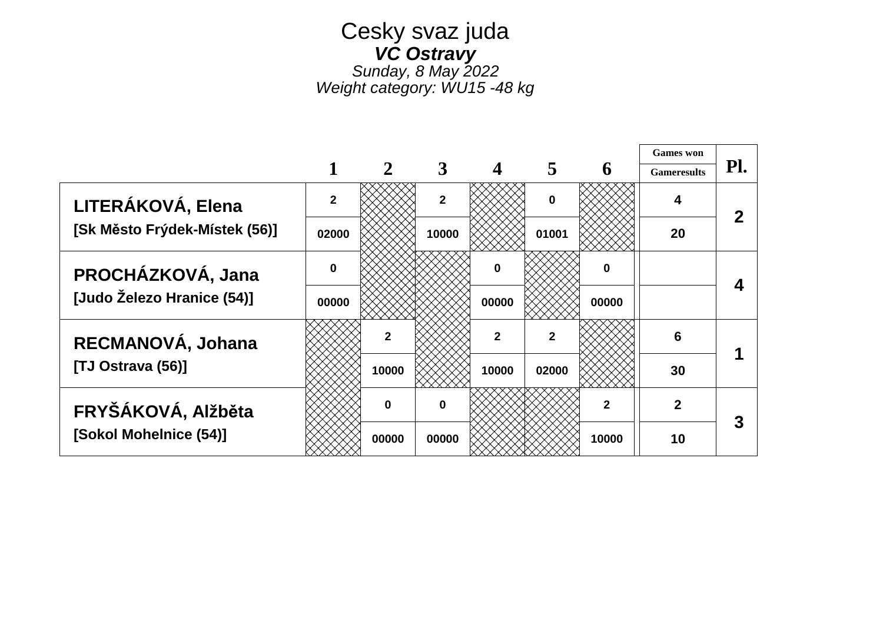### Cesky svaz juda *VC Ostravy Sunday, 8 May 2022*

*Weight category: WU15 -48 kg*

|                               |              |              |              |              |                |              | <b>Games</b> won   |     |
|-------------------------------|--------------|--------------|--------------|--------------|----------------|--------------|--------------------|-----|
|                               |              |              |              |              |                | 6            | <b>Gameresults</b> | Pl. |
| LITERÁKOVÁ, Elena             | $\mathbf{2}$ |              | $\mathbf{2}$ |              | $\bf{0}$       |              |                    | 2   |
| [Sk Město Frýdek-Místek (56)] | 02000        |              | 10000        |              | 01001          |              | 20                 |     |
| PROCHÁZKOVÁ, Jana             | $\Omega$     |              |              | $\bf{0}$     |                | 0            |                    |     |
| [Judo Železo Hranice (54)]    | 00000        |              |              | 00000        |                | 00000        |                    |     |
| RECMANOVÁ, Johana             |              |              |              | $\mathbf{2}$ | $\overline{2}$ |              | 6                  |     |
| [TJ Ostrava (56)]             |              | 10000        |              | 10000        | 02000          |              | 30                 |     |
| FRYŠÁKOVÁ, Alžběta            |              | <sup>0</sup> | $\Omega$     |              |                | $\mathbf{2}$ | $\mathbf{2}$       | 3   |
| [Sokol Mohelnice (54)]        |              | 00000        | 00000        |              |                | 10000        | 10                 |     |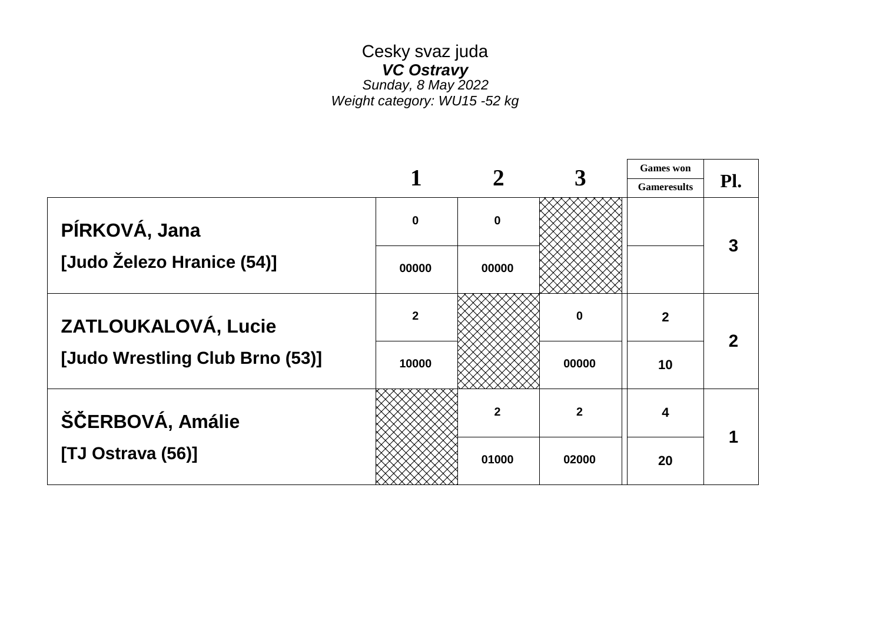### Cesky svaz juda *VC Ostravy Sunday, 8 May 2022 Weight category: WU15 -52 kg*

 $\Gamma$ 

|                                 |                         |             |              | <b>Games</b> won   |     |
|---------------------------------|-------------------------|-------------|--------------|--------------------|-----|
|                                 |                         |             |              | <b>Gameresults</b> | Pl. |
| PÍRKOVÁ, Jana                   | $\bf{0}$                | $\mathbf 0$ |              |                    |     |
| [Judo Železo Hranice (54)]      | 00000                   | 00000       |              |                    |     |
| ZATLOUKALOVÁ, Lucie             | $\overline{\mathbf{2}}$ |             | 0            | $\overline{2}$     |     |
| [Judo Wrestling Club Brno (53)] | 10000                   |             | 00000        | 10                 |     |
| ŠČERBOVÁ, Amálie                |                         | $\mathbf 2$ | $\mathbf{2}$ | 4                  |     |
| [TJ Ostrava (56)]               |                         | 01000       | 02000        | 20                 |     |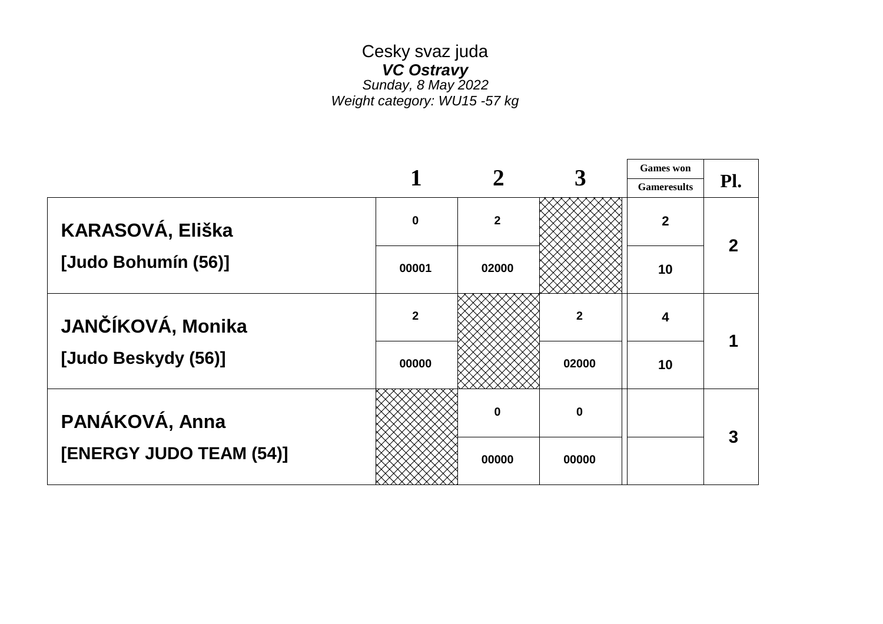### Cesky svaz juda *VC Ostravy Sunday, 8 May 2022 Weight category: WU15 -57 kg*

|                         |                         |              |              | <b>Games</b> won   |     |
|-------------------------|-------------------------|--------------|--------------|--------------------|-----|
|                         |                         |              |              | <b>Gameresults</b> | Pl. |
| KARASOVÁ, Eliška        | $\mathbf 0$             | $\mathbf{2}$ |              | $\overline{2}$     |     |
| [Judo Bohumín (56)]     | 00001                   | 02000        |              | 10                 |     |
| JANČÍKOVÁ, Monika       | $\overline{\mathbf{2}}$ |              | $\mathbf{2}$ | 4                  |     |
| [Judo Beskydy (56)]     | 00000                   |              | 02000        | 10                 |     |
| PANÁKOVÁ, Anna          |                         | O            | 0            |                    |     |
| [ENERGY JUDO TEAM (54)] |                         | 00000        | 00000        |                    |     |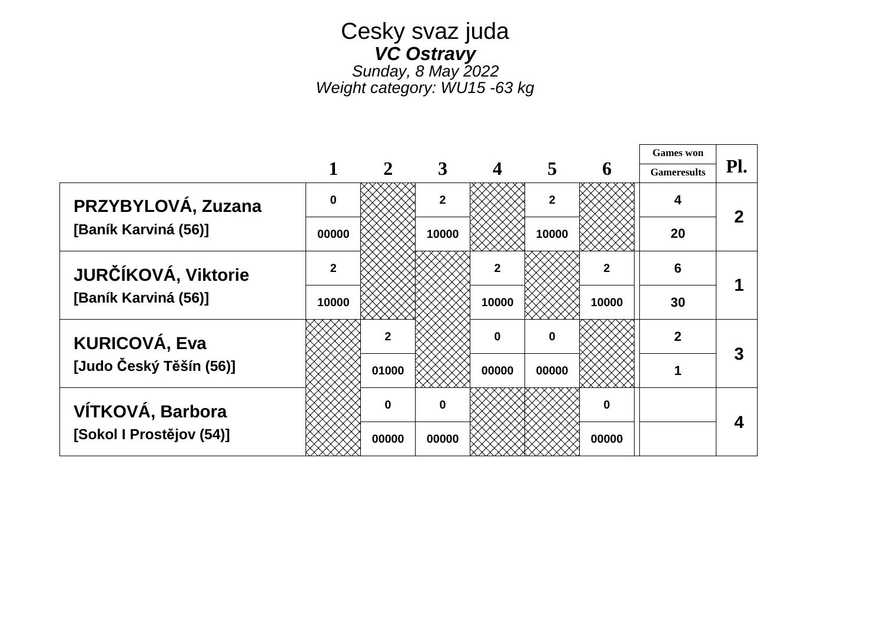## Cesky svaz juda *VC Ostravy Sunday, 8 May 2022*

*Weight category: WU15 -63 kg*

┯

|                          |                |              |                |              |                |              | <b>Games</b> won   |     |
|--------------------------|----------------|--------------|----------------|--------------|----------------|--------------|--------------------|-----|
|                          |                |              |                |              |                | 6            | <b>Gameresults</b> | Pl. |
| PRZYBYLOVÁ, Zuzana       | O              |              | $\overline{2}$ |              | $\overline{2}$ |              |                    |     |
| [Baník Karviná (56)]     | 00000          |              | 10000          |              | 10000          |              | 20                 |     |
| JURČÍKOVÁ, Viktorie      | $\overline{2}$ |              |                | $\mathbf{2}$ |                | $\mathbf{2}$ | 6                  |     |
| [Baník Karviná (56)]     | 10000          |              |                | 10000        |                | 10000        | 30                 |     |
| <b>KURICOVÁ, Eva</b>     |                |              |                | $\mathbf 0$  | 0              |              | 2                  |     |
| [Judo Český Těšín (56)]  |                | 01000        |                | 00000        | 00000          |              |                    |     |
| VÍTKOVÁ, Barbora         |                | <sup>0</sup> | $\bf{0}$       |              |                | $\bf{0}$     |                    |     |
| [Sokol I Prostějov (54)] |                | 00000        | 00000          |              |                | 00000        |                    |     |